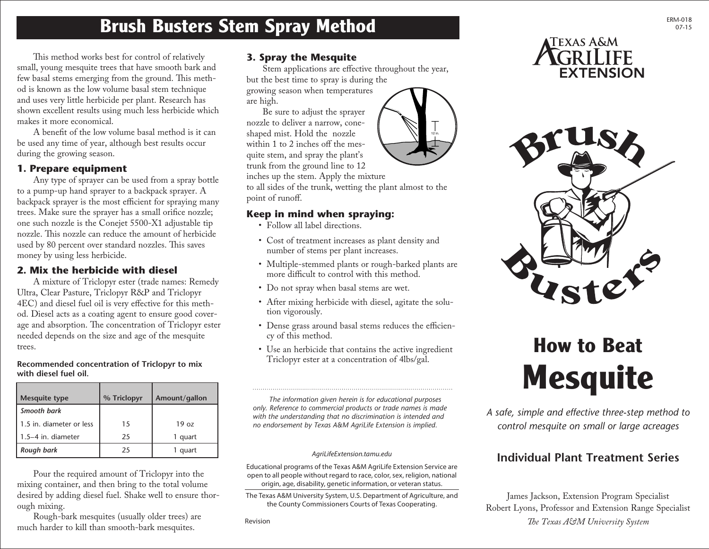# **Brush Busters Stem Spray Method**

This method works best for control of relatively small, young mesquite trees that have smooth bark and few basal stems emerging from the ground. This method is known as the low volume basal stem technique and uses very little herbicide per plant. Research has shown excellent results using much less herbicide which makes it more economical.

A benefit of the low volume basal method is it can be used any time of year, although best results occur during the growing season.

### **1. Prepare equipment**

Any type of sprayer can be used from a spray bottle to a pump-up hand sprayer to a backpack sprayer. A backpack sprayer is the most efficient for spraying many trees. Make sure the sprayer has a small orifice nozzle; one such nozzle is the Conejet 5500-X1 adjustable tip nozzle. This nozzle can reduce the amount of herbicide used by 80 percent over standard nozzles. This saves money by using less herbicide.

### **2. Mix the herbicide with diesel**

A mixture of Triclopyr ester (trade names: Remedy Ultra, Clear Pasture, Triclopyr R&P and Triclopyr 4EC) and diesel fuel oil is very effective for this method. Diesel acts as a coating agent to ensure good coverage and absorption. The concentration of Triclopyr ester needed depends on the size and age of the mesquite trees.

### **Recommended concentration of Triclopyr to mix with diesel fuel oil.**

| <b>Mesquite type</b>     | % Triclopyr | Amount/gallon    |  |
|--------------------------|-------------|------------------|--|
| Smooth bark              |             |                  |  |
| 1.5 in. diameter or less | 15          | 19 <sub>07</sub> |  |
| $1.5-4$ in. diameter     | 25          | 1 quart          |  |
| Rough bark               | 25          | 1 quart          |  |

Pour the required amount of Triclopyr into the mixing container, and then bring to the total volume desired by adding diesel fuel. Shake well to ensure thorough mixing.

Rough-bark mesquites (usually older trees) are much harder to kill than smooth-bark mesquites.

### **3. Spray the Mesquite**

Stem applications are effective throughout the year, but the best time to spray is during the growing season when temperatures are high.

Be sure to adjust the sprayer nozzle to deliver a narrow, coneshaped mist. Hold the nozzle within 1 to 2 inches off the mesquite stem, and spray the plant's trunk from the ground line to 12

inches up the stem. Apply the mixture

to all sides of the trunk, wetting the plant almost to the point of runoff.

# **Keep in mind when spraying:**

- Follow all label directions.
- Cost of treatment increases as plant density and number of stems per plant increases.
- Multiple-stemmed plants or rough-barked plants are more difficult to control with this method.
- Do not spray when basal stems are wet.

- After mixing herbicide with diesel, agitate the solution vigorously.
- Dense grass around basal stems reduces the efficiency of this method.
- Use an herbicide that contains the active ingredient Triclopyr ester at a concentration of 4lbs/gal.

*The information given herein is for educational purposes only. Reference to commercial products or trade names is made with the understanding that no discrimination is intended and no endorsement by Texas A&M AgriLife Extension is implied.* 

#### *AgriLifeExtension.tamu.edu*

Educational programs of the Texas A&M AgriLife Extension Service are open to all people without regard to race, color, sex, religion, national origin, age, disability, genetic information, or veteran status.

The Texas A&M University System, U.S. Department of Agriculture, and the County Commissioners Courts of Texas Cooperating.

Revision







# **How to Beat Mesquite**

*A safe, simple and effective three-step method to control mesquite on small or large acreages*

# **Individual Plant Treatment Series**

James Jackson, Extension Program Specialist Robert Lyons, Professor and Extension Range Specialist *The Texas A&M University System*